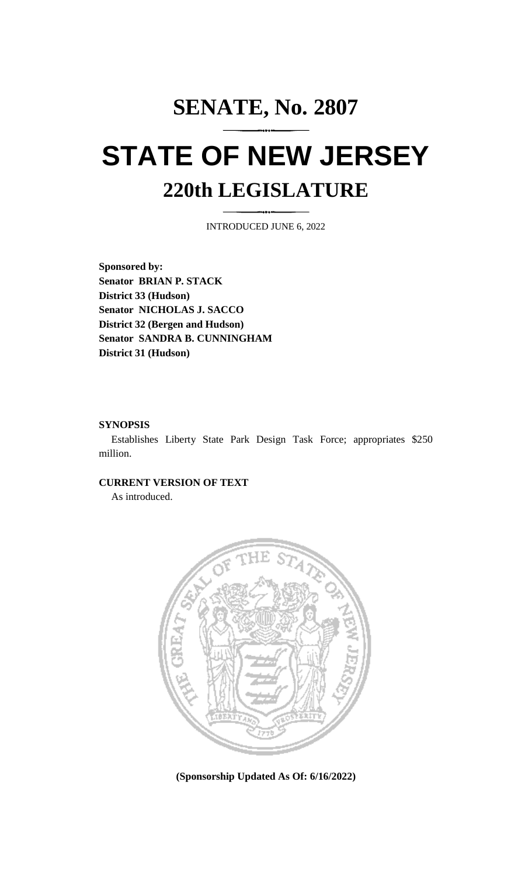## **SENATE, No. 2807 STATE OF NEW JERSEY 220th LEGISLATURE**

INTRODUCED JUNE 6, 2022

**Sponsored by: Senator BRIAN P. STACK District 33 (Hudson) Senator NICHOLAS J. SACCO District 32 (Bergen and Hudson) Senator SANDRA B. CUNNINGHAM District 31 (Hudson)**

## **SYNOPSIS**

Establishes Liberty State Park Design Task Force; appropriates \$250 million.

## **CURRENT VERSION OF TEXT**

As introduced.



**(Sponsorship Updated As Of: 6/16/2022)**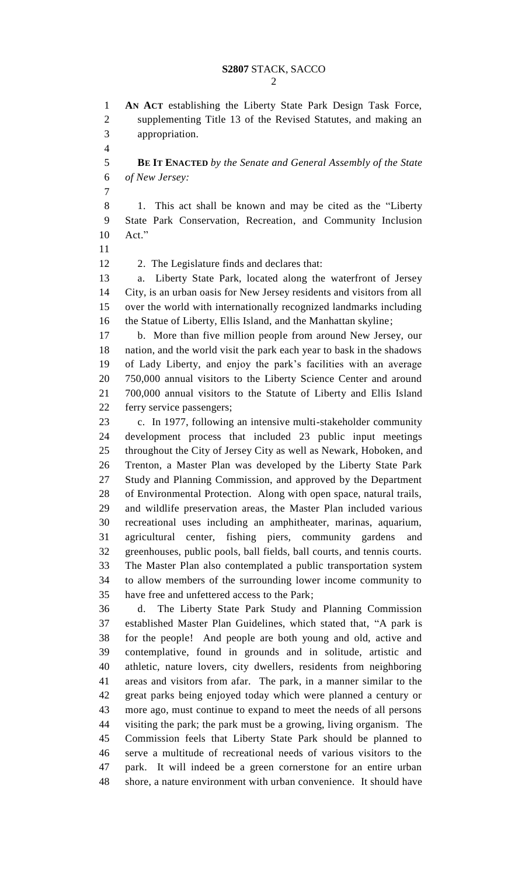**AN ACT** establishing the Liberty State Park Design Task Force, supplementing Title 13 of the Revised Statutes, and making an appropriation.

 **BE IT ENACTED** *by the Senate and General Assembly of the State of New Jersey:*

 1. This act shall be known and may be cited as the "Liberty State Park Conservation, Recreation, and Community Inclusion Act."

12 2. The Legislature finds and declares that:

 a. Liberty State Park, located along the waterfront of Jersey City, is an urban oasis for New Jersey residents and visitors from all over the world with internationally recognized landmarks including the Statue of Liberty, Ellis Island, and the Manhattan skyline;

 b. More than five million people from around New Jersey, our nation, and the world visit the park each year to bask in the shadows of Lady Liberty, and enjoy the park's facilities with an average 750,000 annual visitors to the Liberty Science Center and around 700,000 annual visitors to the Statute of Liberty and Ellis Island ferry service passengers;

 c. In 1977, following an intensive multi-stakeholder community development process that included 23 public input meetings throughout the City of Jersey City as well as Newark, Hoboken, and Trenton, a Master Plan was developed by the Liberty State Park Study and Planning Commission, and approved by the Department of Environmental Protection. Along with open space, natural trails, and wildlife preservation areas, the Master Plan included various recreational uses including an amphitheater, marinas, aquarium, agricultural center, fishing piers, community gardens and greenhouses, public pools, ball fields, ball courts, and tennis courts. The Master Plan also contemplated a public transportation system to allow members of the surrounding lower income community to have free and unfettered access to the Park;

 d. The Liberty State Park Study and Planning Commission established Master Plan Guidelines, which stated that, "A park is for the people! And people are both young and old, active and contemplative, found in grounds and in solitude, artistic and athletic, nature lovers, city dwellers, residents from neighboring areas and visitors from afar. The park, in a manner similar to the great parks being enjoyed today which were planned a century or more ago, must continue to expand to meet the needs of all persons visiting the park; the park must be a growing, living organism. The Commission feels that Liberty State Park should be planned to serve a multitude of recreational needs of various visitors to the park. It will indeed be a green cornerstone for an entire urban shore, a nature environment with urban convenience. It should have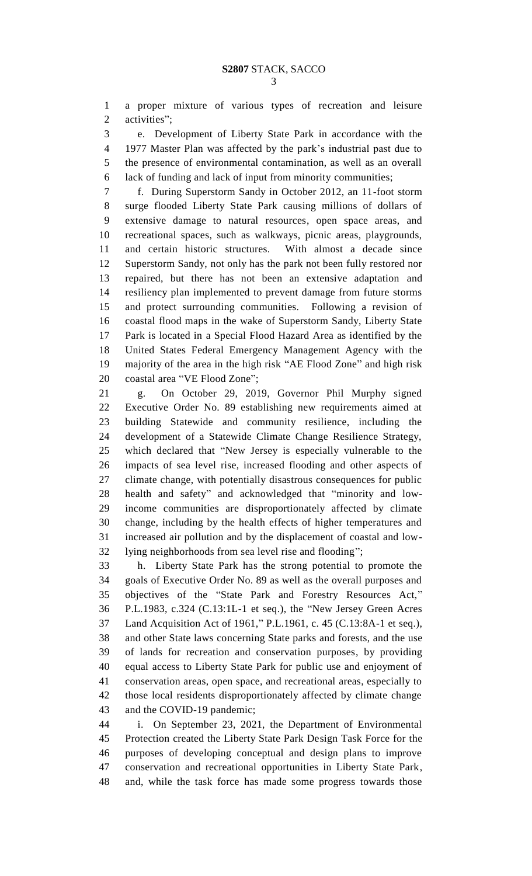a proper mixture of various types of recreation and leisure activities";

 e. Development of Liberty State Park in accordance with the 1977 Master Plan was affected by the park's industrial past due to the presence of environmental contamination, as well as an overall lack of funding and lack of input from minority communities;

 f. During Superstorm Sandy in October 2012, an 11-foot storm surge flooded Liberty State Park causing millions of dollars of extensive damage to natural resources, open space areas, and recreational spaces, such as walkways, picnic areas, playgrounds, and certain historic structures. With almost a decade since Superstorm Sandy, not only has the park not been fully restored nor repaired, but there has not been an extensive adaptation and resiliency plan implemented to prevent damage from future storms and protect surrounding communities. Following a revision of coastal flood maps in the wake of Superstorm Sandy, Liberty State Park is located in a Special Flood Hazard Area as identified by the United States Federal Emergency Management Agency with the majority of the area in the high risk "AE Flood Zone" and high risk coastal area "VE Flood Zone";

 g. On October 29, 2019, Governor Phil Murphy signed Executive Order No. 89 establishing new requirements aimed at building Statewide and community resilience, including the development of a Statewide Climate Change Resilience Strategy, which declared that "New Jersey is especially vulnerable to the impacts of sea level rise, increased flooding and other aspects of climate change, with potentially disastrous consequences for public health and safety" and acknowledged that "minority and low- income communities are disproportionately affected by climate change, including by the health effects of higher temperatures and increased air pollution and by the displacement of coastal and low-lying neighborhoods from sea level rise and flooding";

 h. Liberty State Park has the strong potential to promote the goals of Executive Order No. 89 as well as the overall purposes and objectives of the "State Park and Forestry Resources Act," P.L.1983, c.324 (C.13:1L-1 et seq.), the "New Jersey Green Acres Land Acquisition Act of 1961," P.L.1961, c. 45 (C.13:8A-1 et seq.), and other State laws concerning State parks and forests, and the use of lands for recreation and conservation purposes, by providing equal access to Liberty State Park for public use and enjoyment of conservation areas, open space, and recreational areas, especially to those local residents disproportionately affected by climate change and the COVID-19 pandemic;

 i. On September 23, 2021, the Department of Environmental Protection created the Liberty State Park Design Task Force for the purposes of developing conceptual and design plans to improve conservation and recreational opportunities in Liberty State Park, and, while the task force has made some progress towards those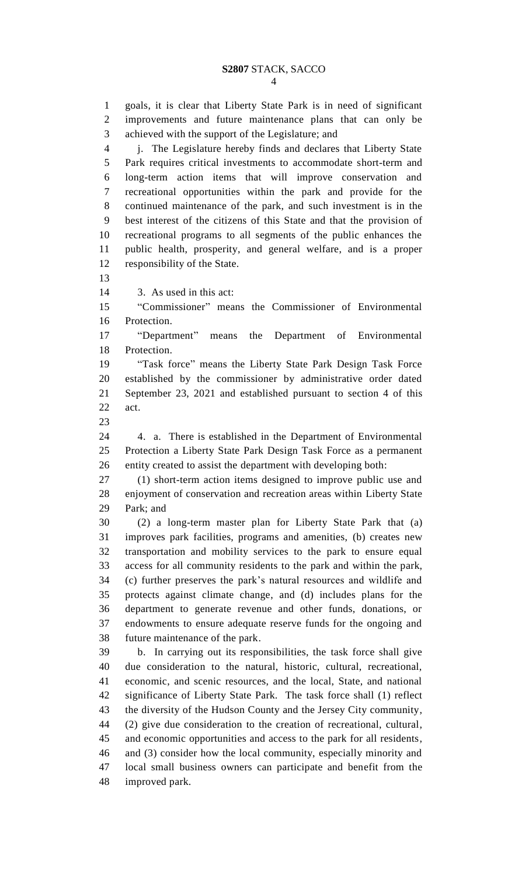goals, it is clear that Liberty State Park is in need of significant improvements and future maintenance plans that can only be achieved with the support of the Legislature; and j. The Legislature hereby finds and declares that Liberty State Park requires critical investments to accommodate short-term and long-term action items that will improve conservation and recreational opportunities within the park and provide for the continued maintenance of the park, and such investment is in the best interest of the citizens of this State and that the provision of recreational programs to all segments of the public enhances the public health, prosperity, and general welfare, and is a proper responsibility of the State. 3. As used in this act: "Commissioner" means the Commissioner of Environmental Protection. "Department" means the Department of Environmental Protection. "Task force" means the Liberty State Park Design Task Force established by the commissioner by administrative order dated September 23, 2021 and established pursuant to section 4 of this act. 4. a. There is established in the Department of Environmental Protection a Liberty State Park Design Task Force as a permanent entity created to assist the department with developing both: (1) short-term action items designed to improve public use and enjoyment of conservation and recreation areas within Liberty State Park; and (2) a long-term master plan for Liberty State Park that (a) improves park facilities, programs and amenities, (b) creates new transportation and mobility services to the park to ensure equal access for all community residents to the park and within the park, (c) further preserves the park's natural resources and wildlife and protects against climate change, and (d) includes plans for the department to generate revenue and other funds, donations, or endowments to ensure adequate reserve funds for the ongoing and future maintenance of the park. b. In carrying out its responsibilities, the task force shall give due consideration to the natural, historic, cultural, recreational, economic, and scenic resources, and the local, State, and national significance of Liberty State Park. The task force shall (1) reflect the diversity of the Hudson County and the Jersey City community, (2) give due consideration to the creation of recreational, cultural, and economic opportunities and access to the park for all residents, and (3) consider how the local community, especially minority and local small business owners can participate and benefit from the improved park.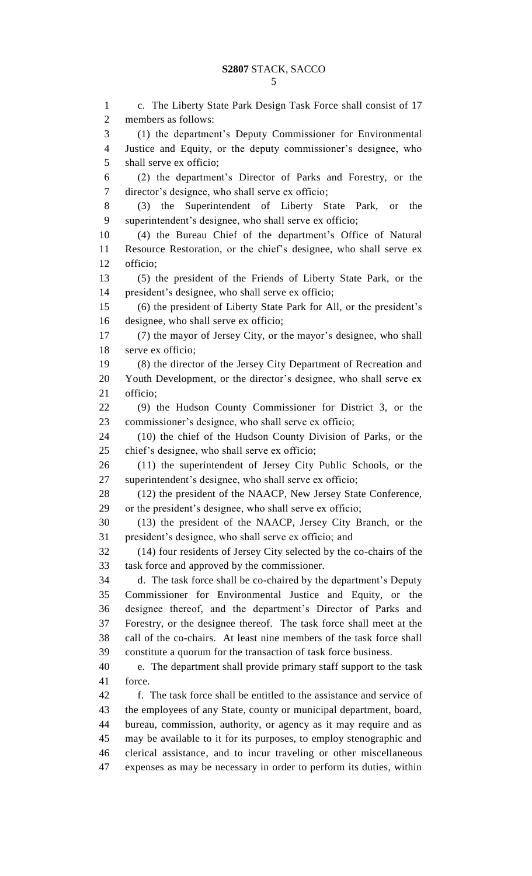c. The Liberty State Park Design Task Force shall consist of 17 members as follows: (1) the department's Deputy Commissioner for Environmental Justice and Equity, or the deputy commissioner's designee, who shall serve ex officio; (2) the department's Director of Parks and Forestry, or the director's designee, who shall serve ex officio; (3) the Superintendent of Liberty State Park, or the superintendent's designee, who shall serve ex officio; (4) the Bureau Chief of the department's Office of Natural Resource Restoration, or the chief's designee, who shall serve ex officio; (5) the president of the Friends of Liberty State Park, or the president's designee, who shall serve ex officio; (6) the president of Liberty State Park for All, or the president's designee, who shall serve ex officio; (7) the mayor of Jersey City, or the mayor's designee, who shall serve ex officio; (8) the director of the Jersey City Department of Recreation and Youth Development, or the director's designee, who shall serve ex officio; (9) the Hudson County Commissioner for District 3, or the commissioner's designee, who shall serve ex officio; (10) the chief of the Hudson County Division of Parks, or the chief's designee, who shall serve ex officio; (11) the superintendent of Jersey City Public Schools, or the superintendent's designee, who shall serve ex officio; (12) the president of the NAACP, New Jersey State Conference, or the president's designee, who shall serve ex officio; (13) the president of the NAACP, Jersey City Branch, or the president's designee, who shall serve ex officio; and (14) four residents of Jersey City selected by the co-chairs of the task force and approved by the commissioner. d. The task force shall be co-chaired by the department's Deputy Commissioner for Environmental Justice and Equity, or the designee thereof, and the department's Director of Parks and Forestry, or the designee thereof. The task force shall meet at the call of the co-chairs. At least nine members of the task force shall constitute a quorum for the transaction of task force business. e. The department shall provide primary staff support to the task force. f. The task force shall be entitled to the assistance and service of the employees of any State, county or municipal department, board, bureau, commission, authority, or agency as it may require and as may be available to it for its purposes, to employ stenographic and clerical assistance, and to incur traveling or other miscellaneous expenses as may be necessary in order to perform its duties, within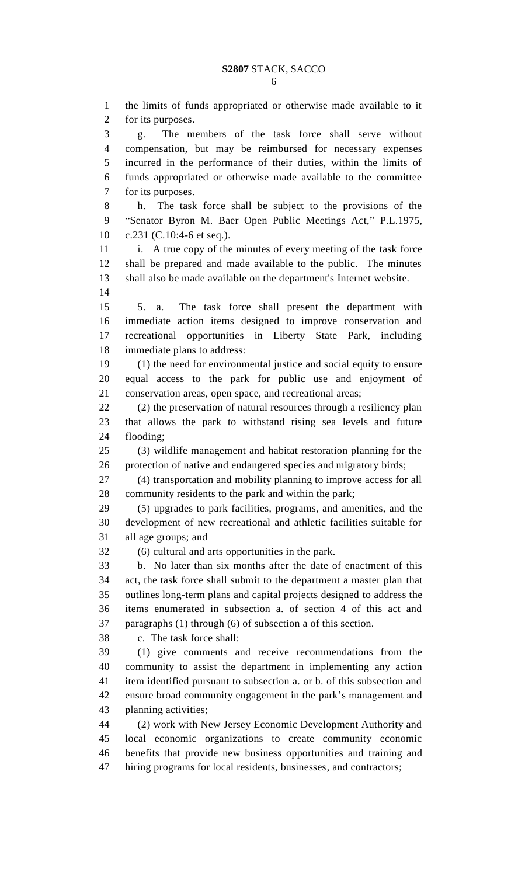the limits of funds appropriated or otherwise made available to it for its purposes. g. The members of the task force shall serve without compensation, but may be reimbursed for necessary expenses incurred in the performance of their duties, within the limits of funds appropriated or otherwise made available to the committee for its purposes. h. The task force shall be subject to the provisions of the "Senator Byron M. Baer Open Public Meetings Act," P.L.1975, c.231 (C.10:4-6 et seq.). 11 i. A true copy of the minutes of every meeting of the task force shall be prepared and made available to the public. The minutes shall also be made available on the department's Internet website. 5. a. The task force shall present the department with immediate action items designed to improve conservation and recreational opportunities in Liberty State Park, including immediate plans to address: (1) the need for environmental justice and social equity to ensure equal access to the park for public use and enjoyment of conservation areas, open space, and recreational areas; (2) the preservation of natural resources through a resiliency plan that allows the park to withstand rising sea levels and future flooding; (3) wildlife management and habitat restoration planning for the protection of native and endangered species and migratory birds; (4) transportation and mobility planning to improve access for all community residents to the park and within the park; (5) upgrades to park facilities, programs, and amenities, and the development of new recreational and athletic facilities suitable for all age groups; and (6) cultural and arts opportunities in the park. b. No later than six months after the date of enactment of this act, the task force shall submit to the department a master plan that outlines long-term plans and capital projects designed to address the items enumerated in subsection a. of section 4 of this act and paragraphs (1) through (6) of subsection a of this section. c. The task force shall: (1) give comments and receive recommendations from the community to assist the department in implementing any action item identified pursuant to subsection a. or b. of this subsection and ensure broad community engagement in the park's management and planning activities; (2) work with New Jersey Economic Development Authority and local economic organizations to create community economic benefits that provide new business opportunities and training and hiring programs for local residents, businesses, and contractors;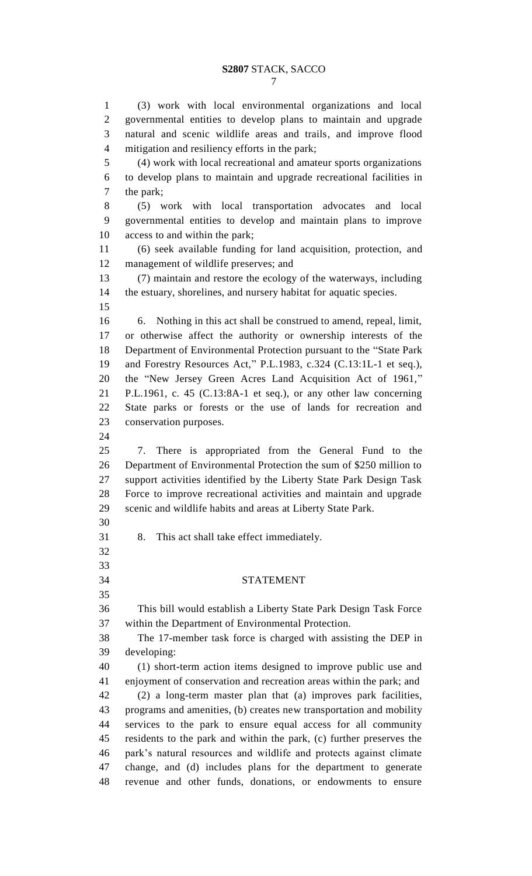(3) work with local environmental organizations and local governmental entities to develop plans to maintain and upgrade natural and scenic wildlife areas and trails, and improve flood mitigation and resiliency efforts in the park; (4) work with local recreational and amateur sports organizations to develop plans to maintain and upgrade recreational facilities in the park; (5) work with local transportation advocates and local governmental entities to develop and maintain plans to improve access to and within the park; (6) seek available funding for land acquisition, protection, and management of wildlife preserves; and (7) maintain and restore the ecology of the waterways, including the estuary, shorelines, and nursery habitat for aquatic species. 6. Nothing in this act shall be construed to amend, repeal, limit, or otherwise affect the authority or ownership interests of the Department of Environmental Protection pursuant to the "State Park and Forestry Resources Act," P.L.1983, c.324 (C.13:1L-1 et seq.), the "New Jersey Green Acres Land Acquisition Act of 1961," P.L.1961, c. 45 (C.13:8A-1 et seq.), or any other law concerning State parks or forests or the use of lands for recreation and conservation purposes. 7. There is appropriated from the General Fund to the Department of Environmental Protection the sum of \$250 million to support activities identified by the Liberty State Park Design Task Force to improve recreational activities and maintain and upgrade scenic and wildlife habits and areas at Liberty State Park. 8. This act shall take effect immediately. STATEMENT This bill would establish a Liberty State Park Design Task Force within the Department of Environmental Protection. The 17-member task force is charged with assisting the DEP in developing: (1) short-term action items designed to improve public use and enjoyment of conservation and recreation areas within the park; and (2) a long-term master plan that (a) improves park facilities, programs and amenities, (b) creates new transportation and mobility services to the park to ensure equal access for all community residents to the park and within the park, (c) further preserves the park's natural resources and wildlife and protects against climate change, and (d) includes plans for the department to generate revenue and other funds, donations, or endowments to ensure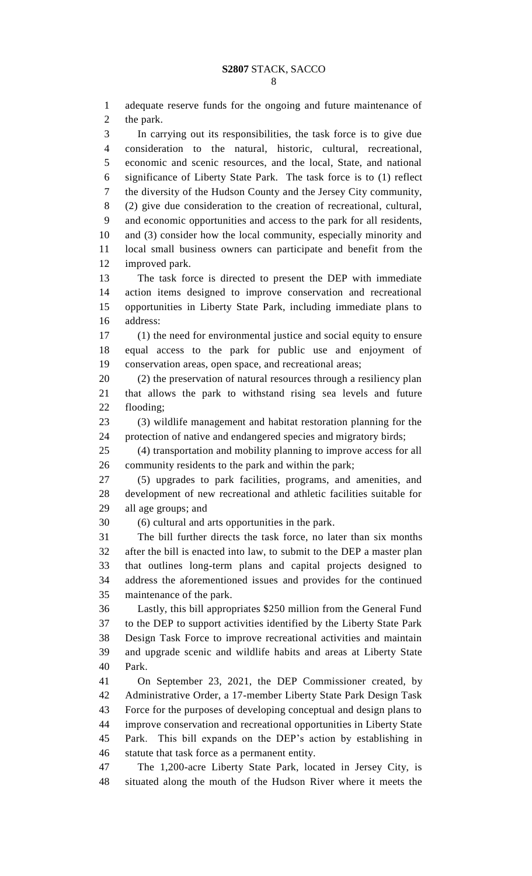adequate reserve funds for the ongoing and future maintenance of the park. In carrying out its responsibilities, the task force is to give due consideration to the natural, historic, cultural, recreational, economic and scenic resources, and the local, State, and national significance of Liberty State Park. The task force is to (1) reflect the diversity of the Hudson County and the Jersey City community, (2) give due consideration to the creation of recreational, cultural, and economic opportunities and access to the park for all residents, and (3) consider how the local community, especially minority and local small business owners can participate and benefit from the improved park. The task force is directed to present the DEP with immediate action items designed to improve conservation and recreational opportunities in Liberty State Park, including immediate plans to address: (1) the need for environmental justice and social equity to ensure equal access to the park for public use and enjoyment of conservation areas, open space, and recreational areas; (2) the preservation of natural resources through a resiliency plan that allows the park to withstand rising sea levels and future flooding; (3) wildlife management and habitat restoration planning for the protection of native and endangered species and migratory birds; (4) transportation and mobility planning to improve access for all community residents to the park and within the park; (5) upgrades to park facilities, programs, and amenities, and development of new recreational and athletic facilities suitable for all age groups; and (6) cultural and arts opportunities in the park. The bill further directs the task force, no later than six months after the bill is enacted into law, to submit to the DEP a master plan that outlines long-term plans and capital projects designed to address the aforementioned issues and provides for the continued maintenance of the park. Lastly, this bill appropriates \$250 million from the General Fund to the DEP to support activities identified by the Liberty State Park Design Task Force to improve recreational activities and maintain and upgrade scenic and wildlife habits and areas at Liberty State Park. On September 23, 2021, the DEP Commissioner created, by Administrative Order, a 17-member Liberty State Park Design Task Force for the purposes of developing conceptual and design plans to improve conservation and recreational opportunities in Liberty State Park. This bill expands on the DEP's action by establishing in statute that task force as a permanent entity. The 1,200-acre Liberty State Park, located in Jersey City, is situated along the mouth of the Hudson River where it meets the